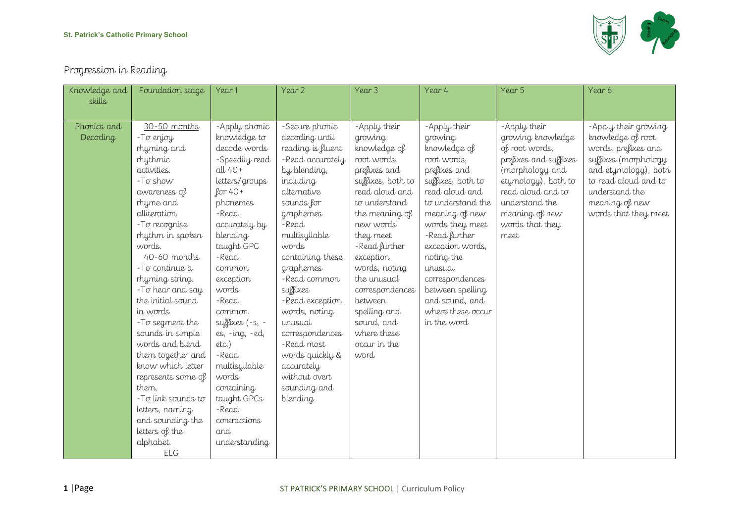

## Progression in Reading

| Knowledge and | Foundation stage          | Year 1                      | Year 2                   | Year 3                              | Year 4                              | Year 5                                   | Year 6                                       |
|---------------|---------------------------|-----------------------------|--------------------------|-------------------------------------|-------------------------------------|------------------------------------------|----------------------------------------------|
| skills        |                           |                             |                          |                                     |                                     |                                          |                                              |
|               |                           |                             |                          |                                     |                                     |                                          |                                              |
| Phonics and   | 30-50 months              | -Apply phonic               | -Secure phonic           | -Apply their                        | -Apply their                        | -Apply their                             | -Apply their growing                         |
| Decoding      | - To enjoy                | knowledge to                | decoding until           | growing                             | growing                             | growing knowledge                        | knowledge of root                            |
|               | rhyming and               | decode words                | reading is fluent        | knowledge of                        | knowledge of                        | of root words,                           | words, prefixes and                          |
|               | rhythmic                  | -Speedily read<br>$all40+$  | -Read accurately         | root words,                         | root words,                         | prefixes and suffixes                    | suffixes (morphology                         |
|               | activities.<br>-To show   |                             | by blending,             | prefixes and                        | prefixes and                        | (morphology and                          | and etymology), both<br>to read aloud and to |
|               |                           | letters/groups<br>$for 40+$ | including<br>alternative | suffixes, both to<br>read aloud and | suffixes, both to<br>read aloud and | etymology), both to<br>read aloud and to | understand the                               |
|               | awareness of<br>rhyme and | phonemes                    | sounds for               | to understand                       | to understand the                   | understand the                           | meaning of new                               |
|               | alliteration.             | -Read                       | graphemes                | the meaning of                      | meaning of new                      | meaning of new                           | words that they meet                         |
|               | -To recognise             | accurately by               | -Read                    | new words                           | words they meet                     | words that they                          |                                              |
|               | rhythm in spoken          | blending                    | multisyllable            | they meet                           | -Read further                       | meet                                     |                                              |
|               | words.                    | taught GPC                  | words                    | -Read further                       | exception words,                    |                                          |                                              |
|               | 40-60 months              | -Read                       | containing these         | exception                           | noting the                          |                                          |                                              |
|               | -To continue a            | common                      | graphemes                | words, noting                       | unusual                             |                                          |                                              |
|               | rhyming string.           | exception                   | -Read common             | the unusual                         | correspondences                     |                                          |                                              |
|               | -To hear and say          | words                       | suffixes                 | correspondences                     | between spelling                    |                                          |                                              |
|               | the initial sound         | -Read                       | -Read exception          | between                             | and sound, and                      |                                          |                                              |
|               | in words.                 | common                      | words, noting            | spelling and                        | where these occur                   |                                          |                                              |
|               | -To segment the           | suffixes $(-s, -$           | unusual                  | sound, and                          | in the word                         |                                          |                                              |
|               | sounds in simple          | es, -ing, -ed,              | correspondences          | where these                         |                                     |                                          |                                              |
|               | words and blend           | $etc.$ )                    | -Read most               | occur in the                        |                                     |                                          |                                              |
|               | them together and         | -Read                       | words quickly &          | word                                |                                     |                                          |                                              |
|               | know which letter         | multisyllable               | accurately               |                                     |                                     |                                          |                                              |
|               | represents some of        | words                       | without overt            |                                     |                                     |                                          |                                              |
|               | them.                     | containing                  | sounding and             |                                     |                                     |                                          |                                              |
|               | -To link sounds to        | taught GPCs                 | blending                 |                                     |                                     |                                          |                                              |
|               | letters, naming           | -Read                       |                          |                                     |                                     |                                          |                                              |
|               | and sounding the          | contractions                |                          |                                     |                                     |                                          |                                              |
|               | letters of the            | and                         |                          |                                     |                                     |                                          |                                              |
|               | alphabet.                 | understanding               |                          |                                     |                                     |                                          |                                              |
|               | <b>ELG</b>                |                             |                          |                                     |                                     |                                          |                                              |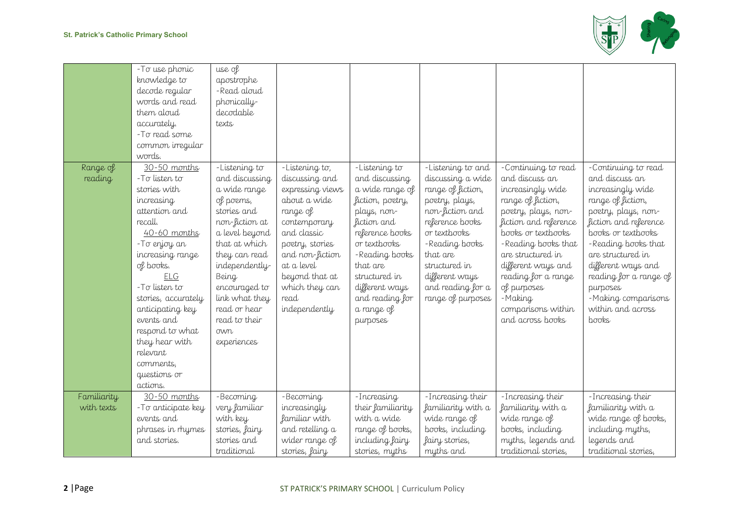

|                           | - To use phonic<br>knowledge to<br>decode regular<br>words and read<br>them aloud<br>accurately.<br>-To read some                                                                                                                                                                                                                               | use of<br>apostrophe<br>-Read aloud<br>phonically-<br>decodable<br>texts                                                                                                                                                                                               |                                                                                                                                                                                                                                  |                                                                                                                                                                                                                                                       |                                                                                                                                                                                                                                                 |                                                                                                                                                                                                                                                                                                                    |                                                                                                                                                                                                                                                                                                                    |
|---------------------------|-------------------------------------------------------------------------------------------------------------------------------------------------------------------------------------------------------------------------------------------------------------------------------------------------------------------------------------------------|------------------------------------------------------------------------------------------------------------------------------------------------------------------------------------------------------------------------------------------------------------------------|----------------------------------------------------------------------------------------------------------------------------------------------------------------------------------------------------------------------------------|-------------------------------------------------------------------------------------------------------------------------------------------------------------------------------------------------------------------------------------------------------|-------------------------------------------------------------------------------------------------------------------------------------------------------------------------------------------------------------------------------------------------|--------------------------------------------------------------------------------------------------------------------------------------------------------------------------------------------------------------------------------------------------------------------------------------------------------------------|--------------------------------------------------------------------------------------------------------------------------------------------------------------------------------------------------------------------------------------------------------------------------------------------------------------------|
|                           | common irregular<br>words.                                                                                                                                                                                                                                                                                                                      |                                                                                                                                                                                                                                                                        |                                                                                                                                                                                                                                  |                                                                                                                                                                                                                                                       |                                                                                                                                                                                                                                                 |                                                                                                                                                                                                                                                                                                                    |                                                                                                                                                                                                                                                                                                                    |
| Range of<br>reading       | 30-50 months<br>$-T\sigma$ listen to<br>stories with<br>increasing<br>attention and<br>recall.<br>$40-60$ months<br>-To enjoy an<br>increasing range<br>of books.<br>ELG<br>$-$ To listen to<br>stories, accurately<br>anticipating key<br>events and<br>respond to what<br>they hear with<br>relevant<br>comments,<br>questions or<br>actions. | -Listening to<br>and discussing<br>a wide range<br>of poems,<br>stories and<br>non-fiction at<br>a level beyond<br>that at which<br>they can read<br>independently-<br>Being<br>encouraged to<br>link what they<br>read or hear<br>read to their<br>own<br>experiences | -Listening to,<br>discussing and<br>expressing views<br>about a wide<br>range of<br>contemporary<br>and classic<br>poetry, stories<br>and non-fiction<br>at a level<br>beyond that at<br>which they can<br>read<br>independently | -Listening to<br>and discussing<br>a wide range of<br>fiction, poetry,<br>plays, non-<br>fiction and<br>reference books<br>or textbooks<br>-Reading books<br>that are<br>structured in<br>different ways<br>and reading for<br>a range of<br>purposes | -Listening to and<br>discussing a wide<br>range of fiction,<br>poetry, plays,<br>non-fiction and<br>reference books<br>or textbooks<br>- Reading books<br>that are<br>structured in<br>different ways<br>and reading for a<br>range of purposes | -Continuing to read<br>and discuss an<br>increasingly wide<br>range of fiction,<br>poetry, plays, non-<br>fiction and reference<br>books or textbooks<br>-Reading books that<br>are structured in<br>different ways and<br>reading for a range<br>of purposes<br>-Making<br>comparisons within<br>and across books | -Continuing to read<br>and discuss an<br>increasingly wide<br>range of fiction,<br>poetry, plays, non-<br>fiction and reference<br>books or textbooks<br>-Reading books that<br>are structured in<br>different ways and<br>reading for a range of<br>purposes<br>-Making comparisons<br>within and across<br>books |
| Familiarity<br>with texts | 30-50 months<br>-To anticipate key                                                                                                                                                                                                                                                                                                              | -Becoming<br>very familiar                                                                                                                                                                                                                                             | -Becoming<br>increasingly                                                                                                                                                                                                        | -Increasing<br>their familiarity                                                                                                                                                                                                                      | -Increasing their<br>familiarity with a                                                                                                                                                                                                         | -Increasing their<br>familiarity with a                                                                                                                                                                                                                                                                            | -Increasing their<br>familiarity with a                                                                                                                                                                                                                                                                            |
|                           | events and                                                                                                                                                                                                                                                                                                                                      | with key                                                                                                                                                                                                                                                               | familiar with                                                                                                                                                                                                                    | with a wide                                                                                                                                                                                                                                           | wide range of                                                                                                                                                                                                                                   | wide range of                                                                                                                                                                                                                                                                                                      | wide range of books,                                                                                                                                                                                                                                                                                               |
|                           | phrases in rhymes<br>and stories.                                                                                                                                                                                                                                                                                                               | stories, fairy<br>stories and<br>traditional                                                                                                                                                                                                                           | and retelling a<br>wider range of<br>stories, fairy                                                                                                                                                                              | range of books,<br>including fairy<br>stories, myths                                                                                                                                                                                                  | books, including<br>fairy stories,<br>myths and                                                                                                                                                                                                 | books, including<br>myths, legends and<br>traditional stories,                                                                                                                                                                                                                                                     | including myths,<br>legends and<br>traditional stories,                                                                                                                                                                                                                                                            |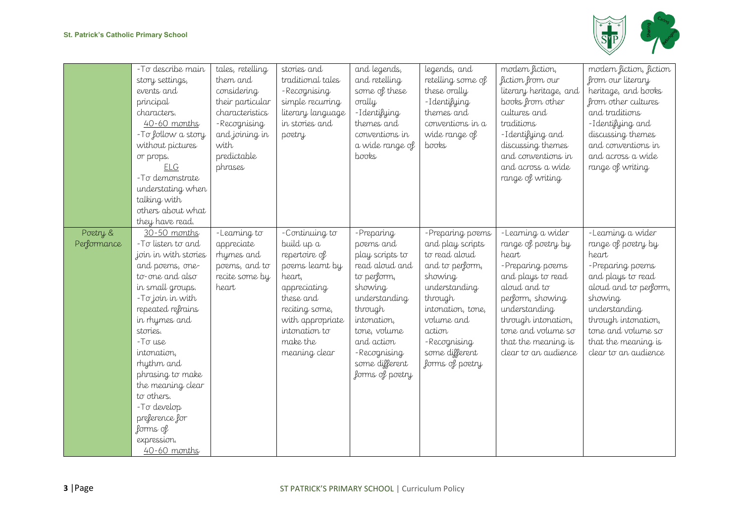

|                         | -To describe main<br>story settings,<br>events and<br>principal<br>characters.<br>$40-60$ months<br>-To follow a story<br>without pictures<br>or props.                                                                                                                                                                                                                            | tales, retelling<br>them and<br>considering<br>their particular<br>characteristics<br>-Recognising<br>and joining in<br>with<br>predictable | stories and<br>traditional tales<br>-Recognising<br>simple recurring<br>literary language<br>in stories and<br>poetry                                                                       | and legends,<br>and retelling<br>some of these<br>orally<br>-Identifying<br>themes and<br>conventions in<br>a wide range of<br>books                                                                                  | legends, and<br>retelling some of<br>these orally<br>-Identifying<br>themes and<br>conventions in a<br>wide range of<br>books                                                                                     | modern fiction,<br>fiction from our<br>literary heritage, and<br>books from other<br>cultures and<br>traditions<br>-Identifying and<br>discussing themes<br>and conventions in                                                             | modern fiction, fiction<br>from our literary<br>heritage, and books<br>from other cultures<br>and traditions<br>-Identifying and<br>discussing themes<br>and conventions in<br>and across a wide                                            |
|-------------------------|------------------------------------------------------------------------------------------------------------------------------------------------------------------------------------------------------------------------------------------------------------------------------------------------------------------------------------------------------------------------------------|---------------------------------------------------------------------------------------------------------------------------------------------|---------------------------------------------------------------------------------------------------------------------------------------------------------------------------------------------|-----------------------------------------------------------------------------------------------------------------------------------------------------------------------------------------------------------------------|-------------------------------------------------------------------------------------------------------------------------------------------------------------------------------------------------------------------|--------------------------------------------------------------------------------------------------------------------------------------------------------------------------------------------------------------------------------------------|---------------------------------------------------------------------------------------------------------------------------------------------------------------------------------------------------------------------------------------------|
|                         | <b>ELG</b><br>-To demonstrate<br>understating when<br>talking with<br>others about what<br>they have read.                                                                                                                                                                                                                                                                         | phrases                                                                                                                                     |                                                                                                                                                                                             |                                                                                                                                                                                                                       |                                                                                                                                                                                                                   | and across a wide<br>range of writing                                                                                                                                                                                                      | range of writing                                                                                                                                                                                                                            |
| Poetry &<br>Performance | 30-50 months<br>-To listen to and<br>join in with stories<br>and poems, one-<br>to-one and also<br>in small groups.<br>-To join in with<br>repeated refrains<br>in rhymes and<br>stories.<br>$-T\sigma$ use<br>intonation,<br>rhythm and<br>phrasing to make<br>the meaning clear<br>to others.<br>$-T\sigma$ develop<br>preference for<br>forms of<br>expression.<br>40-60 months | -Learning to<br>appreciate<br>rhymes and<br>poems, and to<br>recite some by<br>heart                                                        | -Continuing to<br>build up a<br>repertoire of<br>poems learnt by<br>heart,<br>appreciating<br>these and<br>reciting some,<br>with appropriate<br>intonation to<br>make the<br>meaning clear | - Preparing<br>poems and<br>play scripts to<br>read aloud and<br>to perform,<br>showing<br>understanding<br>through<br>intonation,<br>tone, volume<br>and action<br>-Recognising<br>some different<br>forms of poetry | -Preparing poems<br>and play scripts<br>to read aloud<br>and to perform,<br>showing<br>understanding<br>through<br>intonation, tone,<br>volume and<br>action<br>-Recognising<br>some different<br>forms of poetry | -Learning a wider<br>range of poetry by<br>heart<br>-Preparing poems<br>and plays to read<br>aloud and to<br>perform, showing<br>understanding<br>through intonation,<br>tone and volume so<br>that the meaning is<br>clear to an audience | -Learning a wider<br>range of poetry by<br>heart<br>- Preparing poems<br>and plays to read<br>aloud and to perform,<br>showing<br>understanding<br>through intonation,<br>tone and volume so<br>that the meaning is<br>clear to an audience |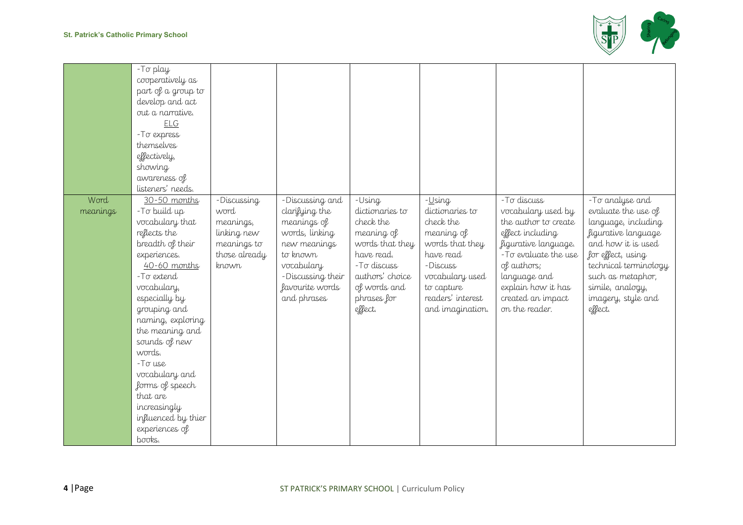

|          | -To play                     |                              |                          |                               |                               |                                              |                       |
|----------|------------------------------|------------------------------|--------------------------|-------------------------------|-------------------------------|----------------------------------------------|-----------------------|
|          | cooperatively as             |                              |                          |                               |                               |                                              |                       |
|          | part of a group to           |                              |                          |                               |                               |                                              |                       |
|          | develop and act              |                              |                          |                               |                               |                                              |                       |
|          | out a narrative.             |                              |                          |                               |                               |                                              |                       |
|          | <b>ELG</b>                   |                              |                          |                               |                               |                                              |                       |
|          | - To express                 |                              |                          |                               |                               |                                              |                       |
|          | themselves                   |                              |                          |                               |                               |                                              |                       |
|          | effectively,                 |                              |                          |                               |                               |                                              |                       |
|          | showing                      |                              |                          |                               |                               |                                              |                       |
|          | awareness of                 |                              |                          |                               |                               |                                              |                       |
|          | listeners' needs.            |                              |                          |                               |                               |                                              |                       |
| Word     | 30-50 months                 | -Discussing                  | -Discussing and          | -Using                        | -Using                        | $-T\sigma$ discuss                           | -To analyse and       |
| meanings | -To build up                 | word                         | clarifying the           | dictionaries to               | dictionaries to               | vocabulary used by                           | evaluate the use of   |
|          | vocabulary that              |                              |                          | check the                     | check the                     | the author to create                         | language, including   |
|          | reflects the                 | meanings,                    | meanings of              |                               |                               | effect including                             | figurative language   |
|          | breadth of their             | linking new                  | words, linking           | meaning of                    | meaning of<br>words that they |                                              | and how it is used    |
|          |                              | meanings to<br>those already | new meanings<br>to known | words that they<br>have read. | have read                     | figurative language.<br>-To evaluate the use | for effect, using     |
|          | experiences.<br>40-60 months |                              |                          | $-$ T $\sigma$ discuss        | -Discuss                      |                                              |                       |
|          | -To extend                   | known                        | vocabulary               | authors' choice               |                               | of authors;                                  | technical terminology |
|          |                              |                              | -Discussing their        |                               | vocabulary used               | language and                                 | such as metaphor,     |
|          | vocabulary,                  |                              | favourite words          | of words and                  | to capture                    | explain how it has                           | simile, analogy,      |
|          | especially by                |                              | and phrases              | phrases for                   | readers' interest             | created an impact                            | imagery, style and    |
|          | grouping and                 |                              |                          | effect.                       | and imagination.              | on the reader.                               | effect.               |
|          | naming, exploring            |                              |                          |                               |                               |                                              |                       |
|          | the meaning and              |                              |                          |                               |                               |                                              |                       |
|          | sounds of new                |                              |                          |                               |                               |                                              |                       |
|          | words.                       |                              |                          |                               |                               |                                              |                       |
|          | $-T\sigma$ use               |                              |                          |                               |                               |                                              |                       |
|          | vocabulary and               |                              |                          |                               |                               |                                              |                       |
|          | forms of speech              |                              |                          |                               |                               |                                              |                       |
|          | that are                     |                              |                          |                               |                               |                                              |                       |
|          | increasingly                 |                              |                          |                               |                               |                                              |                       |
|          | influenced by thier          |                              |                          |                               |                               |                                              |                       |
|          | experiences of               |                              |                          |                               |                               |                                              |                       |
|          | books.                       |                              |                          |                               |                               |                                              |                       |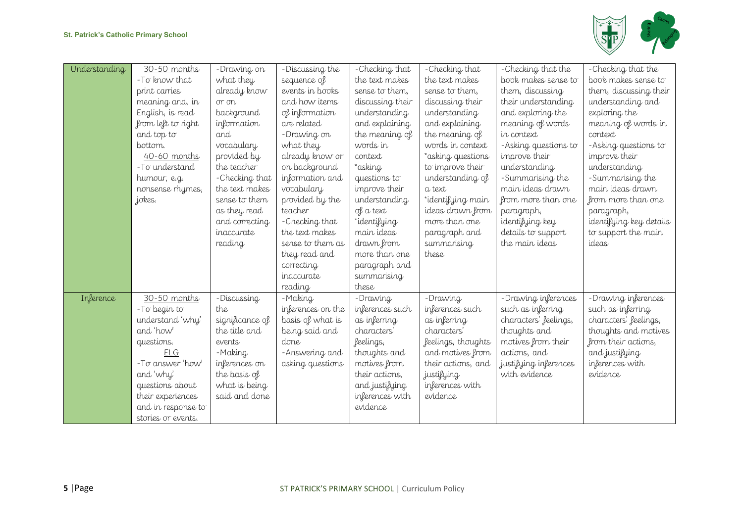

| Understanding | 30-50 months       | -Drawing on       | -Discussing the   | -Checking that   | -Checking that     | -Checking that the    | -Checking that the      |
|---------------|--------------------|-------------------|-------------------|------------------|--------------------|-----------------------|-------------------------|
|               | -To know that      | what they         | sequence of       | the text makes   | the text makes     | book makes sense to   | book makes sense to     |
|               | print carries      | already know      | events in books   | sense to them,   | sense to them,     | them, discussing      | them, discussing their  |
|               | meaning and, in    | or on             | and how items     | discussing their | discussing their   | their understanding   | understanding and       |
|               | English, is read   | background        | of information    | understanding    | understanding      | and exploring the     | exploring the           |
|               | from left to right | information       | are related       | and explaining   | and explaining     | meaning of words      | meaning of words in     |
|               | and top to         | and               | -Drawing on       | the meaning of   | the meaning of     | in context            | context                 |
|               | bottom.            | vocabulary        | what they         | words in         | words in context   | -Asking questions to  | -Asking questions to    |
|               | $40 - 60$ months   | provided by       | already know or   | context          | *asking questions  | improve their         | improve their           |
|               | -To understand     | the teacher       | on background     | *asking          | to improve their   | understanding         | understanding           |
|               | humour, e.g.       | -Checking that    | information and   | questions to     | understanding of   | -Summarising the      | -Summarising the        |
|               | nonsense rhymes,   | the text makes    | vocabulary        | improve their    | a text             | main ideas drawn      | main ideas drawn        |
|               | jokes.             | sense to them     | provided by the   | understanding    | *identifying main  | from more than one    | from more than one      |
|               |                    | as they read      | teacher           | of a text        | ideas drawn from   | paragraph,            | paragraph,              |
|               |                    | and correcting    | -Checking that    | *identifying     | more than one      | identifying key       | identifying key details |
|               |                    | <i>inaccurate</i> | the text makes    | main ideas       | paragraph and      | details to support    | to support the main     |
|               |                    | reading           | sense to them as  | drawn from       | summarising        | the main ideas        | ideas                   |
|               |                    |                   | they read and     | more than one    | these              |                       |                         |
|               |                    |                   | correcting        | paragraph and    |                    |                       |                         |
|               |                    |                   | <i>inaccurate</i> | summarising      |                    |                       |                         |
|               |                    |                   | reading           | these            |                    |                       |                         |
| Inference     | 30-50 months       | -Discussing       | -Making           | - Drawing        | -Drawing           | -Drawing inferences   | -Drawing inferences     |
|               | -To begin to       | the               | inferences on the | inferences such  | inferences such    | such as inferring     | such as inferring       |
|               | understand 'why'   | significance of   | basis of what is  | as inferring     | as inferring       | characters' feelings, | characters' feelings,   |
|               | and 'how'          | the title and     | being said and    | characters'      | characters'        | thoughts and          | thoughts and motives    |
|               | questions.         | events            | done              | feelings,        | feelings, thoughts | motives from their    | from their actions,     |
|               | <b>ELG</b>         | -Making           | -Answering and    | thoughts and     | and motives from   | actions, and          | and justifying          |
|               | -To answer 'how'   | inferences on     | asking questions  | motives from     | their actions, and | justifying inferences | inferences with         |
|               | and 'why'          | the basis of      |                   | their actions,   | justifying         | with evidence         | evidence                |
|               | questions about    | what is being     |                   | and justifying   | inferences with    |                       |                         |
|               | their experiences  | said and done     |                   | inferences with  | evidence           |                       |                         |
|               | and in response to |                   |                   | evidence         |                    |                       |                         |
|               | stories or events. |                   |                   |                  |                    |                       |                         |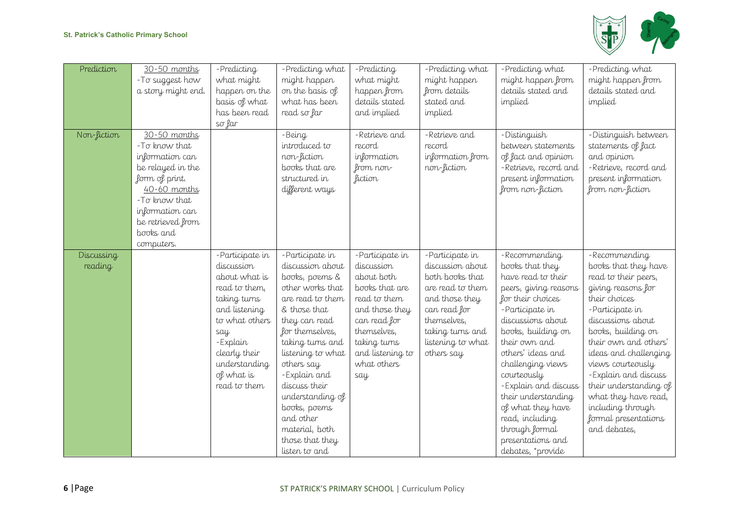

| Prediction            | 30-50 months<br>- To suggest how<br>a story might end.                                                                                                                                      | -Predicting<br>what might<br>happen on the<br>basis of what<br>has been read<br>so far                                                                                                                | -Predicting what<br>might happen<br>on the basis of<br>what has been<br>read so far                                                                                                                                                                                                                                                               | -Predicting<br>what might<br>happen from<br>details stated<br>and implied                                                                                                                | -Predicting what<br>might happen<br>from details<br>stated and<br>implied                                                                                                          | -Predicting what<br>might happen from<br>details stated and<br>implied                                                                                                                                                                                                                                                                                                                          | -Predicting what<br>might happen from<br>details stated and<br>implied                                                                                                                                                                                                                                                                                                            |
|-----------------------|---------------------------------------------------------------------------------------------------------------------------------------------------------------------------------------------|-------------------------------------------------------------------------------------------------------------------------------------------------------------------------------------------------------|---------------------------------------------------------------------------------------------------------------------------------------------------------------------------------------------------------------------------------------------------------------------------------------------------------------------------------------------------|------------------------------------------------------------------------------------------------------------------------------------------------------------------------------------------|------------------------------------------------------------------------------------------------------------------------------------------------------------------------------------|-------------------------------------------------------------------------------------------------------------------------------------------------------------------------------------------------------------------------------------------------------------------------------------------------------------------------------------------------------------------------------------------------|-----------------------------------------------------------------------------------------------------------------------------------------------------------------------------------------------------------------------------------------------------------------------------------------------------------------------------------------------------------------------------------|
| Non-fiction           | 30-50 months<br>-To know that<br>information can<br>be relayed in the<br>form of print.<br>40-60 months<br>-To know that<br>information can<br>be retrieved from<br>books and<br>computers. |                                                                                                                                                                                                       | -Being<br>introduced to<br>non-fiction<br>books that are<br>structured in<br>different ways                                                                                                                                                                                                                                                       | -Retrieve and<br>record<br>information<br>from non-<br>fiction                                                                                                                           | -Retrieve and<br>record<br>information from<br>non-fiction                                                                                                                         | -Distinguish<br>between statements<br>of fact and opinion<br>-Retrieve, record and<br>present information<br>from non-fiction                                                                                                                                                                                                                                                                   | -Distinguish between<br>statements of fact<br>and opinion<br>-Retrieve, record and<br>present information<br>from non-fiction                                                                                                                                                                                                                                                     |
| Discussing<br>reading |                                                                                                                                                                                             | -Participate in<br>discussion<br>about what is<br>read to them,<br>taking turns<br>and listening<br>to what others<br>say<br>-Explain<br>clearly their<br>understanding<br>of what is<br>read to them | -Participate in<br>discussion about<br>books, poems &<br>other works that<br>are read to them<br>& those that<br>they can read<br>for themselves,<br>taking turns and<br>listening to what<br>others say<br>- Explain and<br>discuss their<br>understanding of<br>books, poems<br>and other<br>material, both<br>those that they<br>listen to and | -Participate in<br>discussion<br>about both<br>books that are<br>read to them<br>and those they<br>can read for<br>themselves,<br>taking turns<br>and listening to<br>what others<br>say | -Participate in<br>discussion about<br>both books that<br>are read to them<br>and those they<br>can read for<br>themselves,<br>taking turns and<br>listening to what<br>others say | -Recommending<br>books that they<br>have read to their<br>peers, giving reasons<br>for their choices<br>-Participate in<br>discussions about<br>books, building on<br>their own and<br>others' ideas and<br>challenging views<br>courteously<br>-Explain and discuss<br>their understanding<br>of what they have<br>read, including<br>through formal<br>presentations and<br>debates, *provide | -Recommending<br>books that they have<br>read to their peers,<br>giving reasons for<br>their choices<br>-Participate in<br>discussions about<br>books, building on<br>their own and others'<br>ideas and challenging<br>views courteously<br>- Explain and discuss<br>their understanding of<br>what they have read,<br>including through<br>formal presentations<br>and debates, |